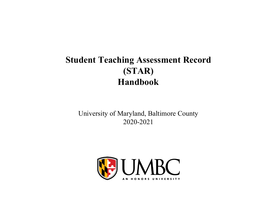# **Student Teaching Assessment Record (STAR) Handbook**

University of Maryland, Baltimore County 2020-2021

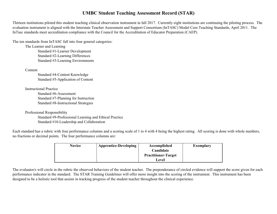## **UMBC Student Teaching Assessment Record (STAR)**

Thirteen institutions piloted this student teaching clinical observation instrument in fall 2017. Currently eight institutions are continuing the piloting process. The evaluation instrument is aligned with the Interstate Teacher Assessment and Support Consortium (InTASC) Model Core Teaching Standards, April 2011. The InTasc standards meet accreditation compliance with the Council for the Accreditation of Educator Preparation (CAEP).

The ten standards from InTASC fall into four general categories:

The Learner and Learning Standard #1-Learner Development Standard #2-Learning Differences Standard #3-Learning Environments

Content

Standard #4-Content Knowledge Standard #5-Application of Content

Instructional Practice Standard #6-Assessment Standard #7-Planning for Instruction Standard #8-Instructional Strategies

Professional Responsibility Standard #9-Professional Learning and Ethical Practice Standard #10-Leadership and Collaboration

Each standard has a rubric with four performance columns and a scoring scale of 1 to 4 with 4 being the highest rating. All scoring is done with whole numbers, no fractions or decimal points. The four performance columns are:

| <b>Novice</b> | <b>Apprentice-Developing</b> | Accomplished               | <b>Exemplary</b> |
|---------------|------------------------------|----------------------------|------------------|
|               |                              | Candidate                  |                  |
|               |                              | <b>Practitioner-Target</b> |                  |
|               |                              | Level                      |                  |

The evaluator/s will circle in the rubric the observed behaviors of the student teacher. The preponderance of circled evidence will support the score given for each performance indicator in the standard. The STAR Training Guidelines will offer more insight into the scoring of the instrument. This instrument has been designed to be a holistic tool that assists in tracking progress of the student teacher throughout the clinical experience.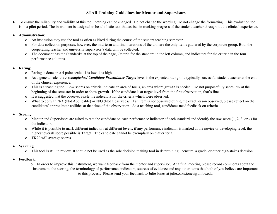#### **STAR Training Guidelines for Mentor and Supervisors**

- To ensure the reliability and validity of this tool, nothing can be changed. Do not change the wording. Do not change the formatting. This evaluation tool is in a pilot period. The instrument is designed to be a holistic tool that assists in tracking progress of the student teacher throughout the clinical experience.
- **Administration**:
	- o An institution may use the tool as often as liked during the course of the student teaching semester.
	- o For data collection purposes, however, the mid-term and final iterations of the tool are the only items gathered by the corporate group. Both the cooperating teacher and university supervisor's data will be collected.
	- o The document has the Standard/s at the top of the page, Criteria for the standard in the left column, and indicators for the criteria in the four performance columns.
- **Rating**:
	- o Rating is done on a 4 point scale. 1 is low, 4 is high.
	- o As a general rule, the *Accomplished Candidate Practitioner-Target* level is the expected rating of a typically successful student teacher at the end of the clinical experience.
	- o This is a teaching tool. Low scores on criteria indicate an area of focus, an area where growth is needed. Do not purposefully score low at the beginning of the semester in order to show growth. If the candidate is at target level from the first observation, that's fine.
	- o It is suggested that the observer circle the indicators for the criteria which were observed.
	- o What to do with N/A (Not Applicable) or N/O (Not Observed)? If an item is not observed during the exact lesson observed, please reflect on the candidates' approximate abilities at that time of the observation. As a teaching tool, candidates need feedback on criteria.

#### ● **Scoring**:

- o Mentor and Supervisors are asked to rate the candidate on each performance indicator of each standard and identify the raw score (1, 2, 3, or 4) for the indicator.
- o While it is possible to mark different indicators at different levels, if any performance indicator is marked at the novice or developing level, the highest overall score possible is Target. The candidate cannot be exemplary on that criteria.
- o TK20 will average scores.

### ● **Warning**:

- o This tool is still in review. It should not be used as the sole decision making tool in determining licensure, a grade, or other high-stakes decision.
- **Feedback**:
	- **o** In order to improve this instrument, we want feedback from the mentor and supervisor. At a final meeting please record comments about the instrument, the scoring, the terminology of performance indicators, sources of evidence and any other items that both of you believe are important to this process. Please send your feedback to Julie Jones at julie.oaks.jones@umbc.edu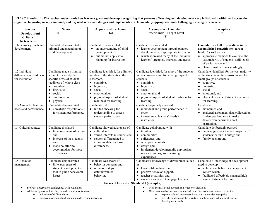InTASC Standard 1: The teacher understands how learners grow and develop, recognizing that patterns of learning and development vary individually within and across the **cognitive, linguistic, social, emotional, and physical areas, and designs and implements developmentally appropriate and challenging learning experiences.**

| Learner                                                                                                                                                                                                                                                               | <b>Novice</b>                                                                                                                                                                                                         | <b>Apprentice-Developing</b>                                                                                                                                                                                                                          | <b>Accomplished Candidate</b>                                                                                                                                                                                                                                                | <b>Exemplary</b>                                                                                                                                                                                                                                                                          |
|-----------------------------------------------------------------------------------------------------------------------------------------------------------------------------------------------------------------------------------------------------------------------|-----------------------------------------------------------------------------------------------------------------------------------------------------------------------------------------------------------------------|-------------------------------------------------------------------------------------------------------------------------------------------------------------------------------------------------------------------------------------------------------|------------------------------------------------------------------------------------------------------------------------------------------------------------------------------------------------------------------------------------------------------------------------------|-------------------------------------------------------------------------------------------------------------------------------------------------------------------------------------------------------------------------------------------------------------------------------------------|
| <b>Development</b>                                                                                                                                                                                                                                                    | (1)                                                                                                                                                                                                                   | (2)                                                                                                                                                                                                                                                   | <b>Practitioner-Target Level</b>                                                                                                                                                                                                                                             | (4)                                                                                                                                                                                                                                                                                       |
| Criteria                                                                                                                                                                                                                                                              |                                                                                                                                                                                                                       |                                                                                                                                                                                                                                                       | (3)                                                                                                                                                                                                                                                                          |                                                                                                                                                                                                                                                                                           |
| The teacher                                                                                                                                                                                                                                                           |                                                                                                                                                                                                                       |                                                                                                                                                                                                                                                       |                                                                                                                                                                                                                                                                              |                                                                                                                                                                                                                                                                                           |
| 1.1-Learner growth and<br>development                                                                                                                                                                                                                                 | Candidate demonstrated a<br>minimal understanding of<br>child development.                                                                                                                                            | Candidate demonstrated<br>an understanding of child<br>development<br>but did not apply it to<br>$\bullet$<br>planning for instruction.                                                                                                               | Candidate demonstrated<br>• learner development through planned<br>developmentally appropriate instruction<br>• which addressed many of the individual<br>learners' strengths, interests, and needs.                                                                         | Candidate met all expectations in the<br>accomplished practitioner-target<br>level. As well as use<br>• appropriate methods to evaluate the<br>vast majority of students' skill levels<br>of performance and<br>• planned instruction accordingly.                                        |
| 1.2-Individual<br>differences in readiness<br>for instruction                                                                                                                                                                                                         | Candidate made a minimal<br>attempt to identify the<br>specific areas of student<br>readiness of whole class<br>$\bullet$ cognitive,<br>linguistic,<br>social.<br>$\bullet$<br>emotional, or<br>physical<br>$\bullet$ | Candidate identified, for a limited<br>number of the students in the<br>classroom.<br>cognitive,<br>$\bullet$<br>linguistic,<br>$\bullet$<br>social.<br>$\bullet$<br>emotional, or<br>physical aspects of student<br>readiness for learning.          | Candidate identified, for most of the students<br>in the classroom and for small groups of<br>students.<br>$\bullet$ cognitive,<br>linguistic,<br>$\bullet$<br>social.<br>$\bullet$<br>emotional, and<br>physical aspects of student readiness for<br>$\bullet$<br>learning. | Candidate identified, for the vast majority<br>of the students in the classroom and for<br>small groups of students,<br>$\bullet$ cognitive,<br>linguistic,<br>$\bullet$<br>social,<br>$\bullet$<br>emotional, and<br>physical aspects of student readiness<br>$\bullet$<br>for learning. |
| 1.3-Assess for learning<br>needs and performance                                                                                                                                                                                                                      | Candidate demonstrated<br>• unrealistic expectations<br>for student performance.                                                                                                                                      | Candidate did<br>limited checking for<br>$\bullet$<br>understanding to assess<br>student performance.                                                                                                                                                 | Candidate regularly assessed<br>• individual and group performance in<br>order<br>to meet most learners' needs in<br>$\bullet$<br>instruction.                                                                                                                               | Candidate<br>• maintained and<br>• analyzed assessment data collected on<br>student performance to make<br>data-driven decisions about<br>instruction.                                                                                                                                    |
| 1.4-Cultural context                                                                                                                                                                                                                                                  | Candidate displayed<br>• little awareness of culture<br>and<br>interests of the students<br>$\bullet$<br>and<br>made no effort to<br>$\bullet$<br>accommodate for those<br>differences.                               | Candidate showed awareness of<br>cultural and<br>$\bullet$<br>varied interests in students but<br>seldom differentiated to<br>$\bullet$<br>accommodate for those<br>differences.                                                                      | Candidate collaborated with<br>• families.<br>communities,<br>$\bullet$<br>colleagues, and<br>$\bullet$<br>other professionals to<br>$\bullet$<br>design and<br>$\bullet$<br>implement developmentally appropriate,<br>relevant, and rigorous learning<br>experiences.       | Candidate deliberately pursued<br>• knowledge about the vast majority of<br>students' cultural heritage and<br>• family background.                                                                                                                                                       |
| 1.5-Behavior<br>management                                                                                                                                                                                                                                            | Candidate demonstrated<br>little awareness of<br>$\bullet$<br>student development as<br>tool to guide behavioral<br>issues                                                                                            | Candidate was aware of<br>behavior concerns and<br>often took steps to<br>$\bullet$<br>deter unwanted<br>behavior.                                                                                                                                    | Candidate's knowledge of development aided<br>in<br>low-profile redirection,<br>$\bullet$<br>positive behavior support,<br>$\bullet$<br>teacher proximity, and<br>$\bullet$<br>student movement to engage learners.<br>$\bullet$                                             | Candidate's knowledge of development<br>used to develop<br>• a classroom behavior management<br>system which<br>• facilitated effectively engaged high<br>levels of student learning.                                                                                                     |
|                                                                                                                                                                                                                                                                       |                                                                                                                                                                                                                       | <b>Forms of Evidence: Standard 1 (examples)</b>                                                                                                                                                                                                       |                                                                                                                                                                                                                                                                              |                                                                                                                                                                                                                                                                                           |
| Pre/Post observation conferences with evaluators<br>$\bullet$<br>All lesson plans include full, data-driven descriptions of:<br>$\bullet$<br>evidence of differentiation<br>$\mathbf{o}$<br>pre/post assessments of students to determine instruction<br>$\mathbf{o}$ |                                                                                                                                                                                                                       | Mid-Term & Final cooperating teacher evaluations<br>Observations (by peers or evaluators) or artifacts of classroom activities that:<br>explore cultural awareness based on student demographics<br>$\mathbf{o}$<br>$\mathbf 0$<br>development needs. | provide evidence of the variety of methods used which meet learner                                                                                                                                                                                                           |                                                                                                                                                                                                                                                                                           |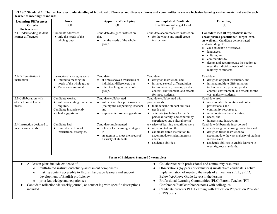| InTASC Standard 2: The teacher uses understanding of individual differences and diverse cultures and communities to ensure inclusive learning environments that enable each<br>learner to meet high standards.                                                                                                                                                                                                 |                                                                                                                    |                                                                                                                                                                                                                              |                                                                                                                                                                                                                                                                                |                                                                                                                                                                                                                                                                                                                                                                             |  |
|----------------------------------------------------------------------------------------------------------------------------------------------------------------------------------------------------------------------------------------------------------------------------------------------------------------------------------------------------------------------------------------------------------------|--------------------------------------------------------------------------------------------------------------------|------------------------------------------------------------------------------------------------------------------------------------------------------------------------------------------------------------------------------|--------------------------------------------------------------------------------------------------------------------------------------------------------------------------------------------------------------------------------------------------------------------------------|-----------------------------------------------------------------------------------------------------------------------------------------------------------------------------------------------------------------------------------------------------------------------------------------------------------------------------------------------------------------------------|--|
| <b>Learning Differences</b><br>Criteria<br>The teacher                                                                                                                                                                                                                                                                                                                                                         | <b>Novice</b><br>(1)                                                                                               | <b>Apprentice-Developing</b><br>(2)                                                                                                                                                                                          | <b>Accomplished Candidate</b><br><b>Practitioner-Target Level</b><br>(3)                                                                                                                                                                                                       | <b>Exemplary</b><br>(4)                                                                                                                                                                                                                                                                                                                                                     |  |
| 2.1-Understanding student<br>learner differences                                                                                                                                                                                                                                                                                                                                                               | Candidate addressed<br>• only the needs of the<br>whole group.                                                     | Candidate designed instruction<br>that<br>• met the needs of the whole<br>group.                                                                                                                                             | Candidate accommodated instruction<br>for the whole and small group<br>$\bullet$<br>instruction.                                                                                                                                                                               | Candidate met all expectations in the<br>accomplished practitioner-target level.<br>As well as Candidate demonstrated<br>understanding of<br>each student's differences,<br>$\bullet$<br>languages,<br>$\bullet$<br>cultures, and<br>$\bullet$<br>communities to<br>design and accommodate instruction to<br>meet the individual needs of the vast<br>majority of students. |  |
| 2.2-Differentiation in<br>instruction                                                                                                                                                                                                                                                                                                                                                                          | Instructional strategies were<br>• limited to meeting the<br>needs of the whole group.<br>• Variation is minimal.  | Candidate<br>• at times showed awareness of<br>individual differences, but<br>often teaching to the whole<br>group.                                                                                                          | Candidate<br>designed instruction, and<br>$\bullet$<br>initiated several differentiation<br>techniques (i.e., process, product,<br>content, environment, and affect)<br>for most students.                                                                                     | Candidate<br>designed original instruction, and<br>initiated multiple differentiation<br>techniques (i.e., process, product,<br>content, environment, and affect) for the<br>vast majority students.                                                                                                                                                                        |  |
| 2.3-Collaboration with<br>others to meet learner<br>needs                                                                                                                                                                                                                                                                                                                                                      | Candidate worked<br>• with cooperating teacher as<br>required.<br>Candidate inconsistently<br>applied suggestions. | Candidate collaborated<br>• with a few other professionals<br>(mainly the cooperating teacher)<br>and<br>implemented some suggestions.<br>$\bullet$                                                                          | Candidate collaborated with<br>professionals<br>• to understand student abilities,<br>needs and<br>interests (including learner's<br>personal, family, and community<br>experiences and cultural norms).                                                                       | Candidate used<br>intentional collaboration with other<br>$\bullet$<br>professionals and<br>community resources to<br>incorporate students' abilities,<br>needs, and<br>$\bullet$<br>interests into instruction.<br>$\bullet$                                                                                                                                               |  |
| 2.4-Instruction designed to<br>meet learner needs                                                                                                                                                                                                                                                                                                                                                              | Candidate had<br>• limited repertoire of<br>instructional strategies.                                              | Candidate implemented<br>a few select learning strategies<br>in<br>• an attempt to meet the needs of<br>a variety of students.                                                                                               | A variety of learning modalities were<br>incorporated and the<br>candidate tiered instruction to<br>accommodate student interests<br>and/or<br>academic abilities.                                                                                                             | Candidate deliberately incorporated<br>a wide range of learning modalities and<br>designed tiered instruction to<br>accommodate the vast majority of student<br>interests and<br>academic abilities to enable learners to<br>meet rigorous standards.                                                                                                                       |  |
|                                                                                                                                                                                                                                                                                                                                                                                                                |                                                                                                                    | Forms of Evidence: Standard 2 (examples)                                                                                                                                                                                     |                                                                                                                                                                                                                                                                                |                                                                                                                                                                                                                                                                                                                                                                             |  |
| All lesson plans include evidence of:<br>$\bullet$<br>multi-tiered instruction/activity/assessment components<br>$\mathbf{o}$<br>making content accessible to English language learners and support<br>$\mathbf{o}$<br>development of English proficiency<br>prior knowledge and experiences<br>$\mathbf 0$<br>Candidate reflection via weekly journal, or contact log with specific descriptions<br>included. |                                                                                                                    | Collaborates with professional and community resources<br>$\bullet$<br>$\bullet$<br>Below/At/Above Grade Level) in the lessons<br>$\bullet$<br>Conference/Staff conference notes with colleagues<br>$\bullet$<br>(EPP) peers | Observations (by peers or evaluators) substantiate candidate's active<br>implementation of meeting the needs of all learners (ELL, SPED,<br>Professional Learning Communities (PLC)/Parent-Teacher (PT)<br>Candidate presents PLC Learning with Education Preparation Provider |                                                                                                                                                                                                                                                                                                                                                                             |  |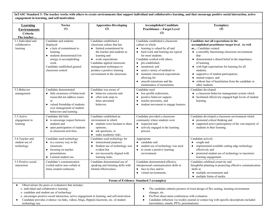| engagement in learning, and self-motivation.                      |                                                                                                                                                                                                                                                                                                                                          |                                                                                                                                                                                                                                                                                    |                                                                                                                                                                                                                                                                                                                                                                                                                              |                                                                                                                                                                                                                                                                                                                                                                                                                                                          |  |  |
|-------------------------------------------------------------------|------------------------------------------------------------------------------------------------------------------------------------------------------------------------------------------------------------------------------------------------------------------------------------------------------------------------------------------|------------------------------------------------------------------------------------------------------------------------------------------------------------------------------------------------------------------------------------------------------------------------------------|------------------------------------------------------------------------------------------------------------------------------------------------------------------------------------------------------------------------------------------------------------------------------------------------------------------------------------------------------------------------------------------------------------------------------|----------------------------------------------------------------------------------------------------------------------------------------------------------------------------------------------------------------------------------------------------------------------------------------------------------------------------------------------------------------------------------------------------------------------------------------------------------|--|--|
| <b>Learning</b><br><b>Environments</b><br>Criteria<br>The teacher | <b>Novice</b><br>(1)                                                                                                                                                                                                                                                                                                                     | <b>Apprentice-Developing</b><br>(2)                                                                                                                                                                                                                                                | <b>Accomplished Candidate</b><br><b>Practitioner-Target Level</b><br>(3)                                                                                                                                                                                                                                                                                                                                                     | <b>Exemplary</b><br>(4)                                                                                                                                                                                                                                                                                                                                                                                                                                  |  |  |
| 3.1-Individual and<br>collaborative<br>learning                   | Candidate and students<br>displayed<br>• a lack of commitment to<br>learning<br>students demonstrated low<br>energy in accomplishing<br>work.<br>Candidate established general<br>classroom control.                                                                                                                                     | Candidate established a<br>classroom culture that has<br>• limited commitment by<br>the teacher and students to<br>learning and<br>• work expectations.<br>Candidate applied classroom<br>management techniques to<br>produce a positive learning<br>environment in the classroom. | Candidate established a classroom<br>culture in which<br>• learning is valued by all and<br>hard work and learning are typical<br>for most students.<br>Candidate worked with others.<br>pre-established,<br>$\bullet$<br>monitored, and<br>$\bullet$<br>used a variety of methods to<br>maintain classroom expectations<br>$\bullet$<br>allowing for<br>smooth transitions and the<br>$\bullet$<br>maintenance of momentum. | Candidate met all expectations in the<br>accomplished practitioner-target level. As well<br>as Candidate created<br>• a smoothly functioning classroom environment<br>that<br>• demonstrated a shared belief in the importance<br>of learning<br>• with high expectations for learning for all<br>students,<br>• supportive of student participation,<br>• mutual respect, and<br>• without fear of humiliation from the candidate or<br>other students. |  |  |
| 3.2-Behavior<br>management                                        | Candidate demonstrated<br>little awareness of behavioral<br>issues/did not address issues<br>or<br>• valued friendship of students<br>over management of student<br>behaviors and learning.                                                                                                                                              | Candidate was aware of<br>behavior concerns and<br>$\bullet$<br>often took steps to<br>$\bullet$<br>deter unwanted<br>behavior.                                                                                                                                                    | Candidate used<br>low-profile redirection,<br>$\bullet$<br>positive behavior support,<br>teacher proximity, and<br>$\bullet$<br>student movement to engage learners.                                                                                                                                                                                                                                                         | Candidate developed<br>• a classroom behavior management system which<br>• facilitated effectively engaged high levels of student<br>learning.                                                                                                                                                                                                                                                                                                           |  |  |
| 3.3-Active<br>engagement in<br>learning                           | Candidate did little<br>• to encourage respect between<br>students and<br>open participation of students<br>in classroom activities.                                                                                                                                                                                                     | Candidate established an<br>environment in which<br>• students were hesitant to share<br>opinions,<br>ask questions, or<br>$\bullet$<br>• make academic risks.                                                                                                                     | Candidate provided a classroom<br>community where students were<br>respected and<br>$\bullet$<br>actively engaged in the learning<br>process.                                                                                                                                                                                                                                                                                | Candidate developed a classroom environment which<br>• promoted critical thinking and<br>• supported active participation of the vast majority of<br>students in their learning.                                                                                                                                                                                                                                                                         |  |  |
| 3.4-Teacher and<br>student use of<br>technology                   | Candidate used technology<br>$\bullet$ in a cursory way in the<br>classroom<br>focusing on teacher<br>presentations.<br>• Limited student use.                                                                                                                                                                                           | Candidate used technology for<br>instructional purposes.<br>Student use of technology was<br>evident but<br>not necessarily aligned with<br>learning tasks.                                                                                                                        | Appropriate<br>candidate and<br>$\bullet$<br>student use of technology was used<br>to create a positive learning<br>$\bullet$<br>environment.                                                                                                                                                                                                                                                                                | Candidate actively<br>• sought and<br>implemented available cutting edge technology<br>effectively and<br>promoted student use of technology to maximize<br>learning engagement.                                                                                                                                                                                                                                                                         |  |  |
| 3.5-Positive social<br>interaction                                | Candidate's communication<br>(verbal and/or non-verbal) at<br>times created confusion.                                                                                                                                                                                                                                                   | Candidate demonstrated use of<br>speaking and listening skills with<br>limited effectiveness.                                                                                                                                                                                      | Candidate demonstrated effective<br>interpersonal communication skills in<br>$\bullet$ face-to-face and/or<br>virtual environments.                                                                                                                                                                                                                                                                                          | Candidate exhibited creativity and<br>thoughtful planning in projecting effective communication<br>skills in<br>• multiple environments and<br>• multiple forms of media.                                                                                                                                                                                                                                                                                |  |  |
|                                                                   |                                                                                                                                                                                                                                                                                                                                          |                                                                                                                                                                                                                                                                                    | Forms of Evidence: Standard 3 (examples)                                                                                                                                                                                                                                                                                                                                                                                     |                                                                                                                                                                                                                                                                                                                                                                                                                                                          |  |  |
| $\bullet$<br>$\bullet$<br>technology use                          | Observations (by peers or evaluators) that includes:<br>o individual and collaborative learning<br>o candidate and student use of technology<br>o encourages positive social interaction, active engagement in learning, and self-motivation<br>Candidate provides evidence via links, videos, blogs, flipped classroom, etc. of student |                                                                                                                                                                                                                                                                                    | $\bullet$<br>changes, etc.<br>Pre/Post observation conferences with evaluators<br>$\bullet$<br>$\bullet$<br>(newsletters, emails, PPTs, presentations)                                                                                                                                                                                                                                                                       | The candidate submits pictures of room design of flex seating, learning environment<br>Candidate reflection via weekly journal or contact log with specific descriptions included                                                                                                                                                                                                                                                                        |  |  |

**InTASC Standard 3: The teacher works with others to create environments that support individual and collaborative learning, and that encourage positive social interaction, active**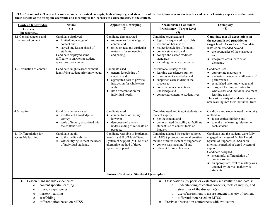|                                                                                                                                                           | these aspects of the discipline accessible and meaningful for learners to assure mastery of the content.                                                                                                       |                                                                                                                                                                                                            | InTASC Standard 4: The teacher understands the central concepts, tools of inquiry, and structures of the discipline(s) he or she teaches and creates learning experiences that make                                                         |                                                                                                                                                                                                                                                                                                                                                        |
|-----------------------------------------------------------------------------------------------------------------------------------------------------------|----------------------------------------------------------------------------------------------------------------------------------------------------------------------------------------------------------------|------------------------------------------------------------------------------------------------------------------------------------------------------------------------------------------------------------|---------------------------------------------------------------------------------------------------------------------------------------------------------------------------------------------------------------------------------------------|--------------------------------------------------------------------------------------------------------------------------------------------------------------------------------------------------------------------------------------------------------------------------------------------------------------------------------------------------------|
| <b>Content Knowledge</b><br>Criteria<br>The teacher                                                                                                       | <b>Novice</b><br>(1)                                                                                                                                                                                           | <b>Apprentice-Developing</b><br>(2)                                                                                                                                                                        | <b>Accomplished Candidate</b><br><b>Practitioner-Target Level</b><br>(3)                                                                                                                                                                    | <b>Exemplary</b><br>(4)                                                                                                                                                                                                                                                                                                                                |
| 4.1-Central concepts and<br>structures of content                                                                                                         | Candidate displayed<br>• limited knowledge of<br>content and<br>stayed one lesson ahead of<br>$\bullet$<br>students.<br>Candidate displayed some<br>difficulty in answering student<br>questions over content. | Candidate demonstrated<br>rudimentary knowledge of<br>content and<br>• relied on text and curricular<br>materials for sequencing<br>and pacing.                                                            | Candidate organized and<br>• logically sequenced (scaffold)<br>instruction because of<br>• his/her knowledge of content,<br>• content standards, and<br>• college and career readiness<br>standards,<br>• including literacy experiences.   | Candidate met all expectations in<br>the accomplished practitioner-<br>target level. As well as Candidate<br>instruction extended beyond<br>• the boundaries of the classroom<br>and<br>integrated cross-curricular<br>$\bullet$<br>elements.                                                                                                          |
| 4.2-Evaluation of content                                                                                                                                 | Candidate taught lessons without<br>identifying student prior knowledge.                                                                                                                                       | Candidate used<br>• general knowledge of<br>students and<br>aggregated data to provide<br>$\bullet$<br>instruction for whole class<br>with<br>little differentiation for<br>$\bullet$<br>individual needs. | Instructional strategies and<br>• learning experiences built on<br>• prior content knowledge and<br>• supported each student in the<br>process to<br>• construct new concepts and<br>knowledge and<br>• connected content to student lives. | Candidate used<br>appropriate methods to<br>evaluate all students' skill levels of<br>$\bullet$<br>performance,<br>established prior knowledge and<br>designed learning activities for<br>$\bullet$<br>whole class and individuals to meet<br>learning goals.<br>The vast majority of students integrated<br>new learning into their individual lives. |
| 4.3-Inquiry                                                                                                                                               | Candidate demonstrated<br>insufficient knowledge to<br>$\bullet$<br>convey<br>tools of inquiry associated with<br>$\bullet$<br>the content field                                                               | Candidate used<br>content tools of inquiry<br>however<br>• demonstrated uneven<br>understanding of rationale or<br>purpose.                                                                                | Candidate used and taught students the<br>tools of inquiry<br>• per the content and<br>• demonstrated the ability to facilitate<br>student use of content tools of<br>inquiry.                                                              | Candidate and students used the inquiry<br>method to<br>• foster critical thinking and<br>• to make the learning relevant to<br>each student.                                                                                                                                                                                                          |
| 4.4-Differentiation for<br>accessible learning                                                                                                            | Candidate taught<br>to the median ability<br>$\bullet$<br>without trying to meet the needs<br>$\bullet$<br>of individual students.                                                                             | Candidate was able to implement<br>levels I and II of Multi-Tiered<br>System of Support (MTSS) or an<br>alternative method of tiered<br>system of support                                                  | Candidate adapted instruction (aligned<br>with MTSS protocols, or an alternative<br>method of tiered system of support) so<br>• content was meaningful and<br>• relevant for most learners.                                                 | Candidate and the students were fully<br>engaged in the use of Multi-Tiered<br>System of Support (MTSS) or an<br>alternative method of tiered system of<br>support.<br>Candidate designed<br>• meaningful differentiation of<br>content so that<br>an appropriate level of mastery was<br>attained by the vast majority of<br>students.                |
|                                                                                                                                                           |                                                                                                                                                                                                                | Forms of Evidence: Standard 4 (examples)                                                                                                                                                                   |                                                                                                                                                                                                                                             |                                                                                                                                                                                                                                                                                                                                                        |
| Lesson plans include evidence of:<br>$\bullet$<br>$\mathbf{O}$<br>$\Omega$<br>mastery learning<br>$\mathbf{O}$<br>scaffolding<br>$\mathbf{O}$<br>$\Omega$ | content specific learning<br>literacy experiences<br>differentiation based on MTSS                                                                                                                             |                                                                                                                                                                                                            | $\bullet$<br>$\mathbf{O}$<br>structures of the discipline(s)<br>$\mathbf{O}$<br>differentiation based on MTSS<br>$\Omega$<br>Pre/Post observation conferences with evaluators<br>$\bullet$                                                  | Observations (by peers or evaluators) substantiate candidate's:<br>understanding of central concepts, tools of inquiry, and<br>use of assessment to assure student mastery of content                                                                                                                                                                  |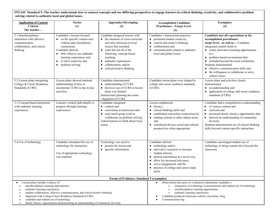**INTASC Standard 5: The teacher understands how to connect concepts and use differing perspectives to engage learners in critical thinking, creativity, and collaborative problem solving related to authentic local and global issues.**

| <b>Application of Content</b><br>Criteria                                                                                                                                                                                                                                                                                                                                                                                                                                                                  | <b>Novice</b><br>(1)                                                                                                                                                                                                                                                         | <b>Apprentice-Developing</b><br>(2)                                                                                                                                                                                                                                                                               | <b>Accomplished Candidate</b><br><b>Practitioner-Target Level</b>                                                                                                                                                                                                          | <b>Exemplary</b><br>(4)                                                                                                                                                                                                                                                                                                                                                                                                           |
|------------------------------------------------------------------------------------------------------------------------------------------------------------------------------------------------------------------------------------------------------------------------------------------------------------------------------------------------------------------------------------------------------------------------------------------------------------------------------------------------------------|------------------------------------------------------------------------------------------------------------------------------------------------------------------------------------------------------------------------------------------------------------------------------|-------------------------------------------------------------------------------------------------------------------------------------------------------------------------------------------------------------------------------------------------------------------------------------------------------------------|----------------------------------------------------------------------------------------------------------------------------------------------------------------------------------------------------------------------------------------------------------------------------|-----------------------------------------------------------------------------------------------------------------------------------------------------------------------------------------------------------------------------------------------------------------------------------------------------------------------------------------------------------------------------------------------------------------------------------|
| The teacher                                                                                                                                                                                                                                                                                                                                                                                                                                                                                                |                                                                                                                                                                                                                                                                              |                                                                                                                                                                                                                                                                                                                   | (3)                                                                                                                                                                                                                                                                        |                                                                                                                                                                                                                                                                                                                                                                                                                                   |
| 5.1-Interdisciplinary<br>instruction with effective<br>communication.<br>collaboration, and critical<br>thinking                                                                                                                                                                                                                                                                                                                                                                                           | Candidate's lessons focused<br>• on the specific content area<br>without inter-disciplinary<br>connections.<br>Candidate showed<br>little effort to use authentic<br>$\bullet$<br>learning experiences and<br>to elicit creativity and<br>$\bullet$<br>problem solving.<br>٠ | Candidate designed lessons with<br>• the intention of cross-curricular<br>activities (focused on local<br>issues) that included<br>• some but not all of the<br>following: concept-based<br>teaching,<br>authentic experiences,<br>$\bullet$<br>collaboration, and/or<br>$\bullet$<br>critical/creative thinking. | Candidate's instructional practices<br>• promoted student creativity,<br>• critical and creative thinking,<br>• collaboration and<br>• communication related to authentic<br>local and global issues.                                                                      | Candidate met all expectations in the<br>accomplished practitioner-<br>target level. As well as Candidate<br>integrated content fields to<br>• create innovative learning opportunities<br>in a<br>problem-based environment that<br>$\bullet$<br>extended beyond the local community.<br>$\bullet$<br>Students demonstrated<br>effective communication skills and<br>the willingness to collaborate to solve<br>critical issues. |
| 5.2-Lesson plans integrating<br>College & Career Readiness<br>Standards (CCRS)                                                                                                                                                                                                                                                                                                                                                                                                                             | Lesson plans showed minimal<br>understanding of how to<br>incorporate CCRS in day to day<br>activities.                                                                                                                                                                      | Candidate demonstrated<br>• understanding of CCRS<br>• however use of CCRS in lesson<br>plans was limited.<br>Instructional planning has some<br>alignment of CCRS.                                                                                                                                               | Candidate lesson plans were aligned to<br>college and career readiness standards<br>$(CCRS)$ .                                                                                                                                                                             | Lesson plans and activities clearly<br>demonstrated<br>• an understanding and<br>application of college and career readiness<br>standards (CCRS).                                                                                                                                                                                                                                                                                 |
| 5.3-Concept based instruction<br>with authentic learning<br>experiences                                                                                                                                                                                                                                                                                                                                                                                                                                    | Learners worked individually to<br>progress through learning<br>experiences.                                                                                                                                                                                                 | Candidate integrated<br>• content and<br>curriculum in instruction and<br>used small group work to<br>$\bullet$<br>collaborate on problem solving.<br>Asked learners to think about local<br>issues.                                                                                                              | Lesson emphasized<br>$\bullet$ literacy,<br>• critical thinking skills and<br>• established curriculum connections by<br>• relating content to other subject areas<br>and<br>• considered diverse social and cultural<br>perspectives when appropriate.                    | Candidate had a comprehensive understanding<br>of various content and<br>curricula and<br>$\bullet$<br>promoted family literacy opportunities that<br>• showed an understanding of community<br>diversity.<br>Students demonstrated use of critical thinking<br>skills beyond content specific instruction.                                                                                                                       |
| 5.4-Use of technology                                                                                                                                                                                                                                                                                                                                                                                                                                                                                      | Candidate attempted the use of<br>technology for instruction.<br>Use of appropriate technology<br>was minimal.                                                                                                                                                               | Technology was used to<br>• present the lesson and<br>• specific information.                                                                                                                                                                                                                                     | Candidate utilized<br>technology and/or<br>• innovative resources to increase<br>student interest,<br>present information in a novel way,<br>allow for increased relevance,<br>active engagement, and the<br>• practice of college and career ready<br>skills.             | Candidate encouraged student use of<br>technology to bring content alive beyond the<br>classroom.                                                                                                                                                                                                                                                                                                                                 |
|                                                                                                                                                                                                                                                                                                                                                                                                                                                                                                            |                                                                                                                                                                                                                                                                              | Forms of Evidence: Standard 5 (examples)                                                                                                                                                                                                                                                                          |                                                                                                                                                                                                                                                                            |                                                                                                                                                                                                                                                                                                                                                                                                                                   |
| Lesson plans include evidence of:<br>$\bullet$<br>interdisciplinary learning opportunities<br>$\mathbf 0$<br>authentic learning experiences<br>$\mathbf{o}$<br>student collaboration, effective communication, and critical/creative thinking<br>$\mathbf{o}$<br>alignment with College/Career Readiness Standards (CCRS)<br>$\mathbf{o}$<br>candidate and student use of technology<br>$\mathbf{o}$<br>family literacy opportunities demonstrating an understanding of community diversity<br>$\mathbf 0$ |                                                                                                                                                                                                                                                                              |                                                                                                                                                                                                                                                                                                                   | Observations (by peers or evaluators) substantiate candidate's:<br>$\mathbf 0$<br>interdisciplinary learning opportunities<br>$\mathbf 0$<br>authentic learning experiences<br>$\mathbf{o}$<br>Candidate produced classroom website, newsletter, blog<br>Communication log | integration of technology in presentations and student use of technology                                                                                                                                                                                                                                                                                                                                                          |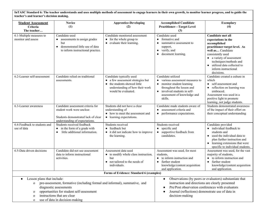**InTASC Standard 6: The teacher understands and uses multiple methods of assessment to engage learners in their own growth, to monitor learner progress, and to guide the teacher's and learner's decision making.**

| <b>Student Assessment</b><br>Criteria<br>The teacher                                                  | <b>Novice</b><br>(1)                                                                                                                                                                                              | <b>Apprentice-Developing</b><br>(2)                                                                                                                   | <b>Accomplished Candidate</b><br><b>Practitioner-Target Level</b><br>(3)                                                                                                                                        | <b>Exemplary</b><br>(4)                                                                                                                                                                                                                                          |
|-------------------------------------------------------------------------------------------------------|-------------------------------------------------------------------------------------------------------------------------------------------------------------------------------------------------------------------|-------------------------------------------------------------------------------------------------------------------------------------------------------|-----------------------------------------------------------------------------------------------------------------------------------------------------------------------------------------------------------------|------------------------------------------------------------------------------------------------------------------------------------------------------------------------------------------------------------------------------------------------------------------|
| 6.1-Multiple measures to<br>monitor and assess                                                        | Candidate used<br>assessments to assign grades<br>$\bullet$<br>but<br>demonstrated little use of data<br>$\bullet$<br>to inform instructional practice.                                                           | Candidate monitored assessment<br>for the whole group to<br>• evaluate their learning.                                                                | Candidate used<br>formative and<br>summative assessment to<br>$\bullet$<br>support,<br>verify, and<br>٠<br>document learning.                                                                                   | Candidate met all<br>expectations in the<br>accomplished<br>practitioner-target level. As<br>well as Candidate<br>consistently used<br>• a variety of assessment<br>techniques/methods and<br>• utilized data collected to<br>inform instructional<br>decisions. |
| 6.2-Learner self-assessment                                                                           | Candidate relied on traditional<br>assessments.                                                                                                                                                                   | Candidate typically used<br>a few assessment strategies but<br>• the students showed little<br>understanding of how their work<br>would be evaluated. | Candidate utilized<br>various assessment measures to<br>monitor student learning<br>$\bullet$<br>throughout the lesson and<br>involved students in self-<br>$\bullet$<br>assessment of knowledge and<br>skills. | Candidate created a culture in<br>which<br>• self-assessment and<br>• reflection on learning was<br>embraced.<br>Assessment was used in a<br>positive light to promote<br>learning, not judge students.                                                          |
| 6.3-Learner awareness                                                                                 | Candidate assessment criteria for<br>student work were unclear.<br>Students demonstrated lack of clear<br>understanding of expectations.                                                                          | Students did not have a clear<br>understanding of<br>• how to meet the assessment and<br>• learning expectations.                                     | Candidate made students aware of<br>assessment criteria and<br>performance expectations.<br>٠                                                                                                                   | Students demonstrated awareness<br>of the impact of their effort on<br>their conceptual understanding                                                                                                                                                            |
| 6.4-Feedback to students and<br>use of data                                                           | Students received feedback<br>in the form of a grade with<br>$\bullet$<br>little additional information.                                                                                                          | Students received<br>• feedback but<br>• it did not indicate how to improve<br>the learning.                                                          | Students received<br>specific and<br>$\bullet$<br>supportive feedback from<br>$\bullet$<br>candidates.                                                                                                          | Candidate provided<br>• individual feedback to<br>students and<br>• used the individual data to<br>plan further instruction and<br>learning extensions that were<br>$\bullet$<br>specific to individual students.                                                |
| 6.5-Data driven decisions                                                                             | Candidate did not use assessment<br>data to inform instructional<br>activities.                                                                                                                                   | Assessment data used<br>• to modify whole class instruction,<br>but<br>• not tailored to the needs of<br>individuals.                                 | Assessment was used, for most<br>students,<br>to inform instruction and<br>$\bullet$<br>further student<br>$\bullet$<br>knowledge/content acquisition<br>and application.                                       | Assessment was used, for the vast<br>majority of students,<br>to inform instruction and<br>$\bullet$<br>further student<br>$\bullet$<br>knowledge/content acquisition<br>and application.                                                                        |
|                                                                                                       |                                                                                                                                                                                                                   | Forms of Evidence: Standard 6 (examples)                                                                                                              |                                                                                                                                                                                                                 |                                                                                                                                                                                                                                                                  |
| Lesson plans that include:<br>$\bullet$<br>$\overline{O}$<br>$\mathbf{O}$<br>$\mathbf{o}$<br>$\Omega$ | pre-assessment, formative (including formal and informal), summative, and<br>diagnostic assessments<br>opportunities for student self-assessment<br>instructions that are clear<br>use of data in decision-making |                                                                                                                                                       | $\bullet$<br>instruction and directions are clearly presented<br>Pre/Post observation conferences with evaluators<br>Journal (reflections) demonstrate use of data in<br>$\bullet$<br>decision-making           | Observations (by peers or evaluators) substantiate that                                                                                                                                                                                                          |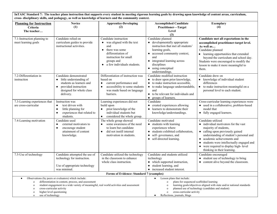| InTASC Standard 7: The teacher plans instruction that supports every student in meeting rigorous learning goals by drawing upon knowledge of content areas, curriculum,<br>cross- disciplinary skills, and pedagogy, as well as knowledge of learners and the community context. |                                                                                                                                                                                                         |                                                                                                                                                                                                     |                                                                                                                                                                                                                                         |                                                                                                                                                                                                                                                                                                                                                          |  |
|----------------------------------------------------------------------------------------------------------------------------------------------------------------------------------------------------------------------------------------------------------------------------------|---------------------------------------------------------------------------------------------------------------------------------------------------------------------------------------------------------|-----------------------------------------------------------------------------------------------------------------------------------------------------------------------------------------------------|-----------------------------------------------------------------------------------------------------------------------------------------------------------------------------------------------------------------------------------------|----------------------------------------------------------------------------------------------------------------------------------------------------------------------------------------------------------------------------------------------------------------------------------------------------------------------------------------------------------|--|
| <b>Planning for Instruction</b><br>Criteria<br>The teacher                                                                                                                                                                                                                       | <b>Novice</b><br>(1)                                                                                                                                                                                    | <b>Apprentice-Developing</b><br>(2)                                                                                                                                                                 | <b>Accomplished Candidate</b><br>Practitioner-Target<br>Level<br>(3)                                                                                                                                                                    | <b>Exemplary</b><br>(4)                                                                                                                                                                                                                                                                                                                                  |  |
| 7.1-Instruction planning to<br>meet learning goals                                                                                                                                                                                                                               | Candidate relied on<br>curriculum guides to provide<br>instructional activities.                                                                                                                        | Candidate instruction<br>• was aligned with the text<br>and<br>there was some<br>$\bullet$<br>differentiation of<br>instruction for small<br>groups and<br>a few individuals students.<br>$\bullet$ | Candidate planned<br>• developmentally appropriate<br>instruction that met all students'<br>learning goals,<br>accessed community context,<br>and<br>• integrated learning across<br>disciplines<br>using conceptual<br>understandings. | Candidate met all expectations in the<br>accomplished practitioner-target level.<br>As well as<br>Candidate planned<br>• learning opportunities that extended<br>beyond the curriculum and school day.<br>Students were encouraged to modify the<br>lesson to make it more meaningful to<br>them.                                                        |  |
| 7.2-Differentiation in<br>instruction                                                                                                                                                                                                                                            | Candidate demonstrated<br>• little understanding of<br>students as learners and<br>provided instruction<br>designed for whole class<br>delivery.                                                        | Differentiation of instruction was<br>based on<br>current performance and<br>$\bullet$<br>accessibility to some students<br>$\bullet$<br>was made based on language<br>barriers.                    | Candidate modified instruction<br>• to draw upon prior knowledge,<br>• to make instruction accessible,<br>to make language understandable,<br>$\bullet$<br>and<br>• to be relevant for individuals and<br>• groups of learners.         | Candidate drew on<br>knowledge of individual student<br>$\bullet$<br>differences<br>to make instruction meaningful on a<br>$\bullet$<br>personal level to each student.                                                                                                                                                                                  |  |
| 7.3-Learning experiences that<br>are cross-curricular                                                                                                                                                                                                                            | Instruction was<br>text driven with<br>$\bullet$<br>little planning for<br>$\bullet$<br>experiences that related to<br>$\bullet$<br>students.                                                           | Learning experiences did not<br>build upon<br>prior knowledge of the<br>$\bullet$<br>individual students but<br>considered the whole group.<br>$\bullet$                                            | Candidate<br>• created experiences allowing<br>• learners to demonstrate their<br>knowledge/understandings.                                                                                                                             | Cross-curricular learning experiences were<br>• used in a collaborative, problem-based<br>model that<br>• fully engaged learners.                                                                                                                                                                                                                        |  |
| 7.4-Learning motivation                                                                                                                                                                                                                                                          | Candidate used<br>external motivators to<br>$\bullet$<br>encourage student<br>$\bullet$<br>attainment of content<br>knowledge.                                                                          | The whole group showed<br>some awareness of the need<br>$\bullet$<br>to learn but candidate<br>did not instill internal<br>$\bullet$<br>motivation in students.                                     | Candidate motivated<br>• students with learning<br>experiences where<br>• students exhibited collaboration,<br>self-governance, and<br>• self-directed learning.                                                                        | Candidate utilized<br>• individual motivators for the vast<br>majority of students,<br>• calling upon previously gained<br>understanding of student's personal and<br>academic achievements and<br>$\bullet$<br>students were intellectually engaged and<br>$\bullet$<br>were required to display high-level<br>$\bullet$<br>thinking in their learning. |  |
| 7.5-Use of technology                                                                                                                                                                                                                                                            | Candidate attempted the use of<br>technology for instruction.<br>Use of appropriate technology<br>was minimal.                                                                                          | Candidate utilized the technology<br>in the classroom to enhance<br>whole class instruction.                                                                                                        | Candidate and students utilized<br>technology<br>• which supported instruction,<br>• student learning, and<br>• increased student interest.                                                                                             | Candidate encouraged<br>student use of technology to bring<br>$\bullet$<br>• content alive beyond the classroom.                                                                                                                                                                                                                                         |  |
|                                                                                                                                                                                                                                                                                  |                                                                                                                                                                                                         | <b>Forms of Evidence: Standard 7 (examples)</b>                                                                                                                                                     |                                                                                                                                                                                                                                         |                                                                                                                                                                                                                                                                                                                                                          |  |
| $\bullet$<br>$\mathbf{o}$<br>$\Omega$<br>cross-curricular activity<br>$\Omega$<br>higher level questioning<br>$\Omega$<br>use of technology<br>$\mathbf{o}$                                                                                                                      | Observations (by peers or evaluators) which include:<br>differentiation in content, process, and assessment<br>student engagement in a wide variety of meaningful, real world activities and assessment |                                                                                                                                                                                                     | Lesson plans that include:<br>plans for sequenced scaffolded learning<br>$\mathbf O$<br>$\mathbf{o}$<br>$\mathbf{o}$<br>cross-curricular activity<br>$\mathbf{o}$<br>Reflections, journals, blogs<br>$\bullet$                          | learning goals/objectives aligned with state and/or national standards<br>planned use of technology (candidate and student)                                                                                                                                                                                                                              |  |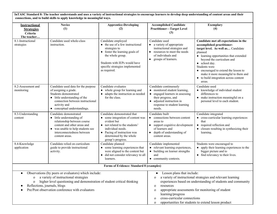| <b>Instructional</b><br><b>Strategies</b><br>Criteria<br>The teacher | <b>Novice</b><br>(1)                                                                                                                                                                                                          | <b>Apprentice-Developing</b><br>(2)                                                                                                                                                                                       | <b>Accomplished Candidate</b><br><b>Practitioner-Target Level</b><br>(3)                                                                                                                  | <b>Exemplary</b><br>(4)                                                                                                                                                                                                                                                                                                                                         |
|----------------------------------------------------------------------|-------------------------------------------------------------------------------------------------------------------------------------------------------------------------------------------------------------------------------|---------------------------------------------------------------------------------------------------------------------------------------------------------------------------------------------------------------------------|-------------------------------------------------------------------------------------------------------------------------------------------------------------------------------------------|-----------------------------------------------------------------------------------------------------------------------------------------------------------------------------------------------------------------------------------------------------------------------------------------------------------------------------------------------------------------|
| 8.1-Instructional<br>strategies                                      | Candidate used whole-class<br>instruction.                                                                                                                                                                                    | Candidate employed<br>$\bullet$ the use of a few instructional<br>strategies to<br>• foster the learning goals of<br>the whole group.<br>Students with IEPs would have<br>specific strategies implemented<br>as required. | Candidate used<br>• a variety of appropriate<br>instructional strategies and<br>• resources to meet the needs<br>of individuals and<br>groups of learners.<br>$\bullet$                   | Candidate met all expectations in the<br>accomplished practitioner-<br>target level. As well as Candidate<br>planned<br>• learning opportunities that extended<br>beyond the curriculum and<br>• school day.<br>Students were<br>• encouraged to extend the lesson to<br>make it more meaningful to them and<br>• to build integration across content<br>areas. |
| 8.2-Assessment and<br>monitoring                                     | Candidate used data for the purpose<br>of assigning a grade.<br>Students demonstrated<br>• little understanding of the<br>connection between instructional<br>activity and<br>conceptual understandings.                      | Candidate evaluates<br>• whole group for learning and<br>• adapts the instruction as needed<br>for the class.                                                                                                             | Candidate continuously<br>• monitored student learning,<br>• engaged learners in assessing<br>their progress, and<br>• adjusted instruction in<br>response to student learning<br>needs.  | Candidate used<br>• knowledge of individual student<br>differences to<br>• make instruction meaningful on a<br>personal level to each student.                                                                                                                                                                                                                  |
| 8.3-Understanding<br>content                                         | Candidate demonstrated<br>• little understanding of<br>relationship between course<br>content and other areas and<br>• was unable to help students see<br>interconnectedness between<br>content areas.                        | Candidate demonstrated that<br>• some integration of content was<br>evident but<br>• not related to the students'<br>individual needs.<br>• Pacing of instruction was<br>determined by the whole<br>group's progress.     | Candidate built<br>connections between content<br>$\bullet$<br>areas to<br>• support cognitive development<br>of learners and<br>depth of understanding of<br>$\bullet$<br>content areas. | Candidate integrated<br>• cross-curricular learning experiences<br>that<br>• required reflection and<br>• closure resulting in synthesizing their<br>learning.                                                                                                                                                                                                  |
| 8.4-Knowledge<br>application                                         | Candidate relied on curriculum<br>guide to provide instructional<br>activity.                                                                                                                                                 | Candidate planned<br>• some learning experiences that<br>were aligned to the content but<br>· did not consider relevancy to all<br>learners.                                                                              | Candidate implemented<br>• relevant learning experiences,<br>• building on learner strengths<br>and<br>• community contexts.                                                              | Students were encouraged to<br>• apply their learning experiences to the<br>bigger picture and to<br>• find relevancy to their lives.                                                                                                                                                                                                                           |
|                                                                      |                                                                                                                                                                                                                               | Forms of Evidence: Standard 8 (examples)                                                                                                                                                                                  |                                                                                                                                                                                           |                                                                                                                                                                                                                                                                                                                                                                 |
| $\bullet$<br>$\Omega$<br>Reflections, journals, blogs                | Observations (by peers or evaluators) which include:<br>o a variety of instructional strategies<br>higher level questioning and demonstration of student critical thinking<br>Pre/Post observation conference with evaluators |                                                                                                                                                                                                                           | Lesson plans that include:<br>$\bullet$<br>resources<br>$\mathbf 0$<br>$\mathbf 0$<br>learning/progress<br>cross-curricular connections<br>$\mathbf 0$<br>$\mathbf 0$                     | o a variety of instructional strategies and relevant learning<br>experiences based on understanding of students and community<br>appropriate assessments for monitoring of student<br>opportunities for students to extend lesson product                                                                                                                       |

**InTASC Standard 8: The teacher understands and uses a variety of instructional strategies to encourage learners to develop deep understanding of content areas and their**

**connections, and to build skills to apply knowledge in meaningful ways.**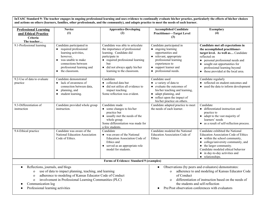**InTASC Standard 9: The teacher engages in ongoing professional learning and uses evidence to continually evaluate his/her practice, particularly the effects of his/her choices and actions on others (learners, families, other professionals, and the community), and adapts practice to meet the needs of each learner.**

| <b>Professional Learning</b>                                                                                                                                                                                                                                                                                                         | <b>Novice</b>                                                                                                                                                                                   | <b>Apprentice-Developing</b>                                                                                                                                                                                               | <b>Accomplished Candidate</b>                                                                                                                                                                                                                             | <b>Exemplary</b>                                                                                                                                                                                                                                                         |
|--------------------------------------------------------------------------------------------------------------------------------------------------------------------------------------------------------------------------------------------------------------------------------------------------------------------------------------|-------------------------------------------------------------------------------------------------------------------------------------------------------------------------------------------------|----------------------------------------------------------------------------------------------------------------------------------------------------------------------------------------------------------------------------|-----------------------------------------------------------------------------------------------------------------------------------------------------------------------------------------------------------------------------------------------------------|--------------------------------------------------------------------------------------------------------------------------------------------------------------------------------------------------------------------------------------------------------------------------|
| and Ethical Practice                                                                                                                                                                                                                                                                                                                 | (1)                                                                                                                                                                                             | (2)                                                                                                                                                                                                                        | <b>Practitioner-Target Level</b>                                                                                                                                                                                                                          | (4)                                                                                                                                                                                                                                                                      |
| Criteria                                                                                                                                                                                                                                                                                                                             |                                                                                                                                                                                                 |                                                                                                                                                                                                                            | (3)                                                                                                                                                                                                                                                       |                                                                                                                                                                                                                                                                          |
| The teacher                                                                                                                                                                                                                                                                                                                          |                                                                                                                                                                                                 |                                                                                                                                                                                                                            |                                                                                                                                                                                                                                                           |                                                                                                                                                                                                                                                                          |
| 9.1-Professional learning                                                                                                                                                                                                                                                                                                            | Candidate participated in<br>required professional<br>learning activities,<br>however.<br>was unable to make<br>$\bullet$<br>connections between<br>professional learning and<br>the classroom. | Candidate was able to articulate<br>the importance of professional<br>learning. Candidate did<br>participate in<br>• required professional learning<br>but<br>· did not always apply his/her<br>learning to the classroom. | Candidate participated in<br>• ongoing learning<br>opportunities and<br>• relevant, appropriate<br>professional learning<br>experiences to<br>• support learner and<br>professional needs.<br>$\bullet$                                                   | Candidate met all expectations in<br>the accomplished practitioner-<br>target level. As well as Candidate<br>reflected on<br>• personal professional needs and<br>• sought out opportunities for<br>professional learning beyond<br>• those provided at the local area.  |
| 9.2-Use of data to evaluate<br>practice                                                                                                                                                                                                                                                                                              | Candidate demonstrated<br>• lack of awareness of<br>connection between data,<br>planning, and<br>$\bullet$<br>student learning.<br>$\bullet$                                                    | Candidate<br>• collected data but<br>• did not utilize all evidence to<br>impact teaching.<br>Some reflection was evident.                                                                                                 | Candidate used<br>• a variety of data to<br>evaluate the outcomes of<br>his/her teaching and learning,<br>• adapt planning, and<br>• reflect upon the impact of<br>his/her practice on others.                                                            | Candidate regularly<br>• reflected on student outcomes and<br>• used the data to inform development                                                                                                                                                                      |
| 9.3-Differentiation of<br>instruction                                                                                                                                                                                                                                                                                                | Candidate provided whole group<br>instruction.                                                                                                                                                  | Candidate made<br>• some changes to his/her<br>practice but<br>• usually met the needs of the<br>whole group.<br>Some differentiation was made for<br>a few students.                                                      | Candidate adapted practice to meet<br>the needs of each learner.                                                                                                                                                                                          | Candidate<br>• differentiated instruction and<br>practice to<br>• adapt to the vast majority of<br>learners' needs<br>• as a result of self-reflection process.                                                                                                          |
| 9.4-Ethical practice                                                                                                                                                                                                                                                                                                                 | Candidate was aware of the<br>National Education Association<br>Code of Ethics.                                                                                                                 | Candidate<br>• was aware of the National<br>Education Association Code of<br>Ethics and<br>• served as an appropriate role<br>model for students.                                                                          | Candidate modeled the National<br>Education Association Code of<br>Ethics                                                                                                                                                                                 | Candidate exhibited the National<br>Education Association Code of Ethics<br>• within the school community,<br>• college/university community, and<br>• the larger community.<br>Candidate modeled ethical behavior<br>• in day-to-day activities and<br>· relationships. |
|                                                                                                                                                                                                                                                                                                                                      |                                                                                                                                                                                                 | Forms of Evidence: Standard 9 (examples)                                                                                                                                                                                   |                                                                                                                                                                                                                                                           |                                                                                                                                                                                                                                                                          |
| Reflections, journals, and blogs<br>$\bullet$<br>use of data to impact planning, teaching, and learning<br>$\mathbf{O}$<br>adherence to modeling of Kansas Educator Code of Conduct<br>$\mathbf 0$<br>involvement in Professional Learning Communities (PLC)<br>$\mathbf O$<br>Communication log<br>Professional learning activities |                                                                                                                                                                                                 | $\bullet$<br>$\mathbf{O}$<br>of Conduct<br>$\Omega$<br>$\bullet$                                                                                                                                                           | Observations (by peers and evaluators) demonstrates:<br>adherence to and modeling of Kansas Educator Code<br>differentiation of instruction based on the needs of<br>the students and self-reflection<br>Pre/Post observation conferences with evaluators |                                                                                                                                                                                                                                                                          |